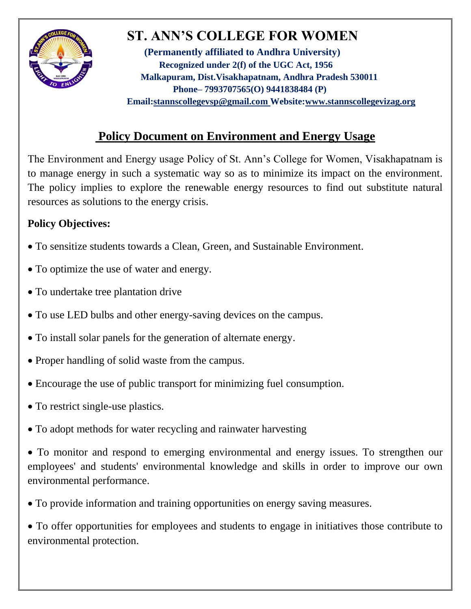

# **ST. ANN'S COLLEGE FOR WOMEN**

**(Permanently affiliated to Andhra University) Recognized under 2(f) of the UGC Act, 1956 Malkapuram, Dist.Visakhapatnam, Andhra Pradesh 530011 Phone– 7993707565(O) 9441838484 (P) Email[:stannscollegevsp@gmail.com W](mailto:stannscollegevsp@gmail.com)ebsite[:www.stannscollegevizag.org](http://www.stannscollegevizag.org/)**

## **Policy Document on Environment and Energy Usage**

The Environment and Energy usage Policy of St. Ann's College for Women, Visakhapatnam is to manage energy in such a systematic way so as to minimize its impact on the environment. The policy implies to explore the renewable energy resources to find out substitute natural resources as solutions to the energy crisis.

### **Policy Objectives:**

- To sensitize students towards a Clean, Green, and Sustainable Environment.
- To optimize the use of water and energy.
- To undertake tree plantation drive
- To use LED bulbs and other energy-saving devices on the campus.
- To install solar panels for the generation of alternate energy.
- Proper handling of solid waste from the campus.
- Encourage the use of public transport for minimizing fuel consumption.
- To restrict single-use plastics.
- To adopt methods for water recycling and rainwater harvesting

 To monitor and respond to emerging environmental and energy issues. To strengthen our employees' and students' environmental knowledge and skills in order to improve our own environmental performance.

To provide information and training opportunities on energy saving measures.

 To offer opportunities for employees and students to engage in initiatives those contribute to environmental protection.